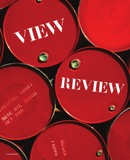## REVIEW

S)

43500

**LONGO** 

Ø

**20 REVIEW [SPRING 08]**

VIEN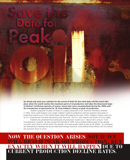Go ahead and mark your calendar for the arrival of Peak Oil. But what date will this event take place when the world reaches the maximum point of oil production and takes the downward slope of decline? Conflicting opinions of sooner versus later were conceptualized during the 1950s with the introduction of geoscientist Dr. M. King Hubbert's theory of peak oil production.

Hubbert proposed his peak oil theory in a paper presented to the American Petroleum Institute in 1956. Using a bell-shaped curve model, Hubbert made his predictions with the assertion that peak oil production would occur in the United States (lower 48 states) by the early 1970s. Hubbert's theory rang true as U.S. oil production has been decreasing since that time. The U.S. now imports two-thirds of its oil supply.

Hubbert also predicted that world peak oil production would occur "about half a century" from his publication; however, he later revised the estimate to 1995. Some analysts believe peak oil has already occurred, some think it will hit within this decade, and some predict dates as late as the 2030s. As companies are attempting to develop and secure alternative energy resources, many believe those efforts will not cushion the economic blow to come.

## Now the question arises not if we will reach peak oil production, but exactly when it will happen due to current production decline rates.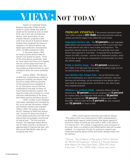## VIEW': NOT TODAY

Experts at Cambridge Energy Research Associates (CERA) recently stated in a press release that peak oil would not be reached as soon as some think, due to the rate of production decline. Upon examination of past industry research, projections were cited to be around an 8 percent decline. Analysts have readjusted this figure to represent a 4.5 percent decline rate, based upon production characteristics of 811 oil fields analyzed by CERA.

In the press release, CERA oil industry activity director Peter M. Jackson was quoted as saying, "Some of the more gloomy, pessimistic 'peak oil' views about the future of oil supplies that are current today result from an assumption of high decline rates. This new analysis provides the basis for more confidence about the future availability of oil."

Jackson added, "The absence of definitive, comprehensive analysis of production timelines and decline rates has led to widely differing estimates of the potential future availability of oil: an information vacuum that has contributed to the peak oil theory of future liquids production capacity. We hope this study will contribute to a more informed understanding of the issues, both below ground and above ground."

CERA's analysis covers database information developed and managed by IHS, an oil and gas information, analysis and software company that acquired CERA in 2004. The analysis includes the 811 separate oil fields that Jackson said "account for about two-thirds of current global production and half of the total proved and probably conventional oil reserve base." The final outcome showed "the aggregate global decline rate for fields currently in production is approximately 4.5 percent per year, and that annual field decline rates are not increasing with time."

**PRIMARY FINDINGS** - The primary conclusions drawn from CERA's analysis of **811 fields** during the production build-up, plateau and decline stages in the oilfield life cycle include:

Aggregate decline rate  $-$  The 4.5 percent per year aggregate global decline rate among fields in production (FIP) is much lower than the eight percent rate cited in many studies and projections. This pessimistic estimate may be a function of the generally more rapid decline rates observed in small fields – increasingly being developed in mature non-OPEC countries – and the rise of deepwater projects, which tend to flow at high rates as a requirement of commerciality, but which also decline rapidly.

Fields in decline stage – Only 41 percent of production is from fields in the data base that are beyond the plateau stage and into the decline phase of their production lives.

Low decline rate, longer lives - Annual field decline rates are not increasing but, as a result of increased investment, improved planning and technology, can be maintained at low decline rates in many fields for prolonged periods, and field life is very often longer than originally projected.

**Offshore vs. onshore fields** – Individual offshore fields are declining at a  $10$  percent annual rate compared with  $6$  percent for onshore fields, and deepwater fields decline at **18 percent** annually compared with **10 percent** for shallow-water fields. Non-OPEC offshore fields decline 5 percent per year compared with **12 percent** for those in OPEC.

CERA's world capacity conclusion was made by Jackson: "The results of this new study reinforce CERA's existing bottomup global liquids capacity model showing that liquids capacity of around 91 million of barrels per day (mbd) in 2007 could climb to 112 mbd by 2017. This outlook is supported by a key conclusion of this study: there is no evidence that oilfield decline rates will increase suddenly. It is important, though, to continue to research and understand evolving decline trends and further develop insight into the declines."

*\*Source: "No Evidence of Precipitous Fall on Horizon for World Oil Production: Global 4.5 Percent Decline Rate Means No Near-Term Peak: CERA/IHS Study" Cera.com. 17 Jan. 2008 <http://www.cera.com>*